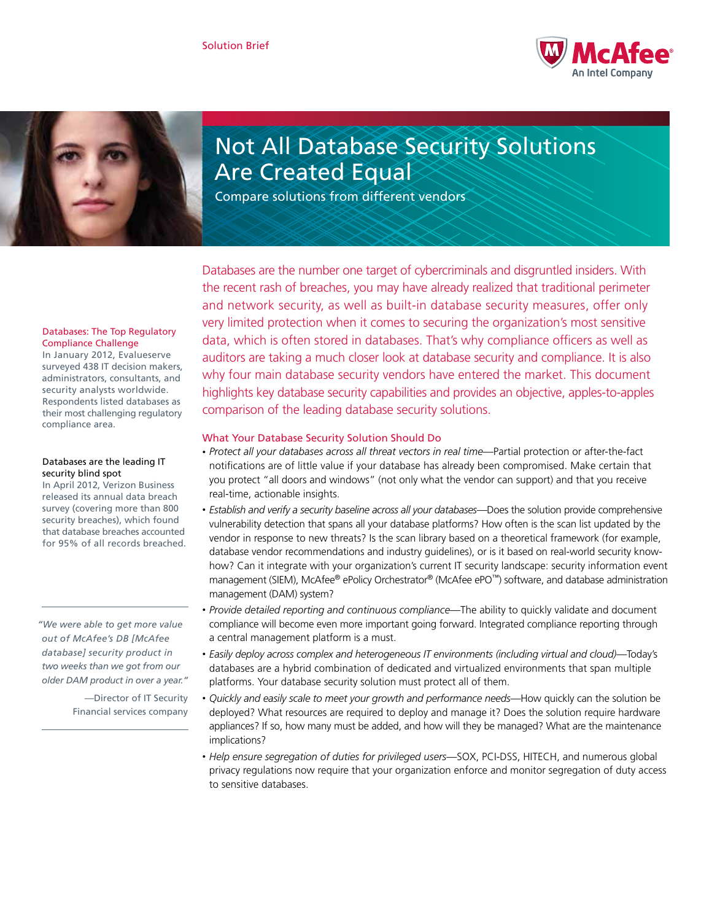



# Not All Database Security Solutions Are Created Equal

Compare solutions from different vendors

### Databases: The Top Regulatory Compliance Challenge

In January 2012, Evalueserve surveyed 438 IT decision makers, administrators, consultants, and security analysts worldwide. Respondents listed databases as their most challenging regulatory compliance area.

### Databases are the leading IT security blind spot

In April 2012, Verizon Business released its annual data breach survey (covering more than 800 security breaches), which found that database breaches accounted for 95% of all records breached.

*"We were able to get more value out of McAfee's DB [McAfee database] security product in two weeks than we got from our older DAM product in over a year."*

> —Director of IT Security Financial services company

Databases are the number one target of cybercriminals and disgruntled insiders. With the recent rash of breaches, you may have already realized that traditional perimeter and network security, as well as built-in database security measures, offer only very limited protection when it comes to securing the organization's most sensitive data, which is often stored in databases. That's why compliance officers as well as auditors are taking a much closer look at database security and compliance. It is also why four main database security vendors have entered the market. This document highlights key database security capabilities and provides an objective, apples-to-apples comparison of the leading database security solutions.

## What Your Database Security Solution Should Do

- *Protect all your databases across all threat vectors in real time—*Partial protection or after-the-fact notifications are of little value if your database has already been compromised. Make certain that you protect "all doors and windows" (not only what the vendor can support) and that you receive real-time, actionable insights.
- *Establish and verify a security baseline across all your databases—*Does the solution provide comprehensive vulnerability detection that spans all your database platforms? How often is the scan list updated by the vendor in response to new threats? Is the scan library based on a theoretical framework (for example, database vendor recommendations and industry guidelines), or is it based on real-world security knowhow? Can it integrate with your organization's current IT security landscape: security information event management (SIEM), McAfee® ePolicy Orchestrator® (McAfee ePO™) software, and database administration management (DAM) system?
- *Provide detailed reporting and continuous compliance—*The ability to quickly validate and document compliance will become even more important going forward. Integrated compliance reporting through a central management platform is a must.
- *Easily deploy across complex and heterogeneous IT environments (including virtual and cloud)—*Today's databases are a hybrid combination of dedicated and virtualized environments that span multiple platforms. Your database security solution must protect all of them.
- *Quickly and easily scale to meet your growth and performance needs—*How quickly can the solution be deployed? What resources are required to deploy and manage it? Does the solution require hardware appliances? If so, how many must be added, and how will they be managed? What are the maintenance implications?
- *Help ensure segregation of duties for privileged users—*SOX, PCI-DSS, HITECH, and numerous global privacy regulations now require that your organization enforce and monitor segregation of duty access to sensitive databases.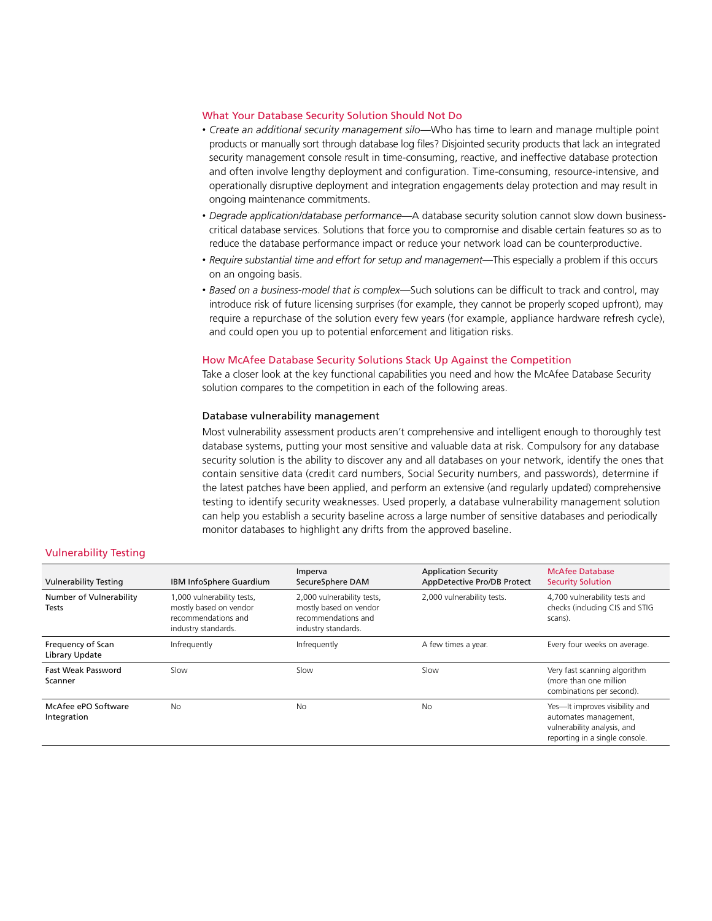### What Your Database Security Solution Should Not Do

- *Create an additional security management silo—*Who has time to learn and manage multiple point products or manually sort through database log files? Disjointed security products that lack an integrated security management console result in time-consuming, reactive, and ineffective database protection and often involve lengthy deployment and configuration. Time-consuming, resource-intensive, and operationally disruptive deployment and integration engagements delay protection and may result in ongoing maintenance commitments.
- *Degrade application/database performance—*A database security solution cannot slow down businesscritical database services. Solutions that force you to compromise and disable certain features so as to reduce the database performance impact or reduce your network load can be counterproductive.
- *Require substantial time and effort for setup and management—*This especially a problem if this occurs on an ongoing basis.
- *Based on a business-model that is complex—*Such solutions can be difficult to track and control, may introduce risk of future licensing surprises (for example, they cannot be properly scoped upfront), may require a repurchase of the solution every few years (for example, appliance hardware refresh cycle), and could open you up to potential enforcement and litigation risks.

#### How McAfee Database Security Solutions Stack Up Against the Competition

Take a closer look at the key functional capabilities you need and how the McAfee Database Security solution compares to the competition in each of the following areas.

## Database vulnerability management

Most vulnerability assessment products aren't comprehensive and intelligent enough to thoroughly test database systems, putting your most sensitive and valuable data at risk. Compulsory for any database security solution is the ability to discover any and all databases on your network, identify the ones that contain sensitive data (credit card numbers, Social Security numbers, and passwords), determine if the latest patches have been applied, and perform an extensive (and regularly updated) comprehensive testing to identify security weaknesses. Used properly, a database vulnerability management solution can help you establish a security baseline across a large number of sensitive databases and periodically monitor databases to highlight any drifts from the approved baseline.

| <b>Vulnerability Testing</b>         | IBM InfoSphere Guardium                                                                            | Imperva<br>SecureSphere DAM                                                                        | <b>Application Security</b><br><b>AppDetective Pro/DB Protect</b> | McAfee Database<br><b>Security Solution</b>                                                                              |
|--------------------------------------|----------------------------------------------------------------------------------------------------|----------------------------------------------------------------------------------------------------|-------------------------------------------------------------------|--------------------------------------------------------------------------------------------------------------------------|
| Number of Vulnerability<br>Tests     | 1,000 vulnerability tests,<br>mostly based on vendor<br>recommendations and<br>industry standards. | 2,000 vulnerability tests,<br>mostly based on vendor<br>recommendations and<br>industry standards. | 2,000 vulnerability tests.                                        | 4,700 vulnerability tests and<br>checks (including CIS and STIG<br>scans).                                               |
| Frequency of Scan<br>Library Update  | Infrequently                                                                                       | Infrequently                                                                                       | A few times a year.                                               | Every four weeks on average.                                                                                             |
| <b>Fast Weak Password</b><br>Scanner | Slow                                                                                               | Slow                                                                                               | Slow                                                              | Very fast scanning algorithm<br>(more than one million<br>combinations per second).                                      |
| McAfee ePO Software<br>Integration   | <b>No</b>                                                                                          | <b>No</b>                                                                                          | <b>No</b>                                                         | Yes-It improves visibility and<br>automates management,<br>vulnerability analysis, and<br>reporting in a single console. |

#### Vulnerability Testing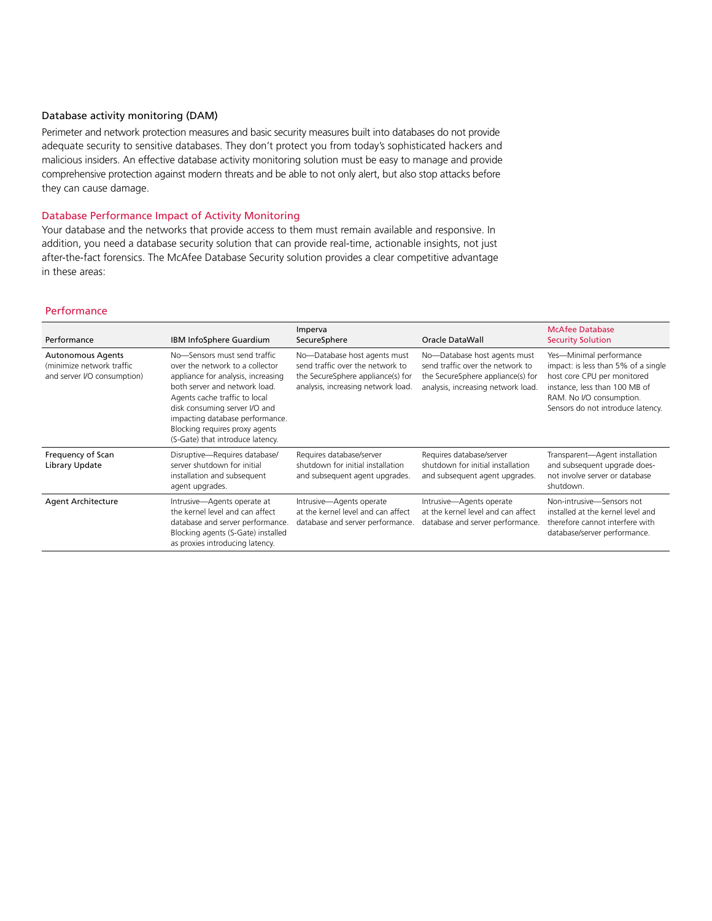## Database activity monitoring (DAM)

Perimeter and network protection measures and basic security measures built into databases do not provide adequate security to sensitive databases. They don't protect you from today's sophisticated hackers and malicious insiders. An effective database activity monitoring solution must be easy to manage and provide comprehensive protection against modern threats and be able to not only alert, but also stop attacks before they can cause damage.

## Database Performance Impact of Activity Monitoring

Your database and the networks that provide access to them must remain available and responsive. In addition, you need a database security solution that can provide real-time, actionable insights, not just after-the-fact forensics. The McAfee Database Security solution provides a clear competitive advantage in these areas:

### **Performance**

| Performance                                                                          | IBM InfoSphere Guardium                                                                                                                                                                                                                                                                                           | Imperva<br>SecureSphere                                                                                                                     | Oracle DataWall                                                                                                                             | <b>McAfee Database</b><br><b>Security Solution</b>                                                                                                                                              |
|--------------------------------------------------------------------------------------|-------------------------------------------------------------------------------------------------------------------------------------------------------------------------------------------------------------------------------------------------------------------------------------------------------------------|---------------------------------------------------------------------------------------------------------------------------------------------|---------------------------------------------------------------------------------------------------------------------------------------------|-------------------------------------------------------------------------------------------------------------------------------------------------------------------------------------------------|
| <b>Autonomous Agents</b><br>(minimize network traffic<br>and server I/O consumption) | No-Sensors must send traffic<br>over the network to a collector<br>appliance for analysis, increasing<br>both server and network load.<br>Agents cache traffic to local<br>disk consuming server I/O and<br>impacting database performance.<br>Blocking requires proxy agents<br>(S-Gate) that introduce latency. | No-Database host agents must<br>send traffic over the network to<br>the SecureSphere appliance(s) for<br>analysis, increasing network load. | No-Database host agents must<br>send traffic over the network to<br>the SecureSphere appliance(s) for<br>analysis, increasing network load. | Yes-Minimal performance<br>impact: is less than 5% of a single<br>host core CPU per monitored<br>instance, less than 100 MB of<br>RAM. No I/O consumption.<br>Sensors do not introduce latency. |
| Frequency of Scan<br>Library Update                                                  | Disruptive-Requires database/<br>server shutdown for initial<br>installation and subsequent<br>agent upgrades.                                                                                                                                                                                                    | Requires database/server<br>shutdown for initial installation<br>and subsequent agent upgrades.                                             | Requires database/server<br>shutdown for initial installation<br>and subsequent agent upgrades.                                             | Transparent-Agent installation<br>and subsequent upgrade does-<br>not involve server or database<br>shutdown.                                                                                   |
| <b>Agent Architecture</b>                                                            | Intrusive-Agents operate at<br>the kernel level and can affect<br>database and server performance.<br>Blocking agents (S-Gate) installed<br>as proxies introducing latency.                                                                                                                                       | Intrusive-Agents operate<br>at the kernel level and can affect<br>database and server performance.                                          | Intrusive-Agents operate<br>at the kernel level and can affect<br>database and server performance.                                          | Non-intrusive-Sensors not<br>installed at the kernel level and<br>therefore cannot interfere with<br>database/server performance.                                                               |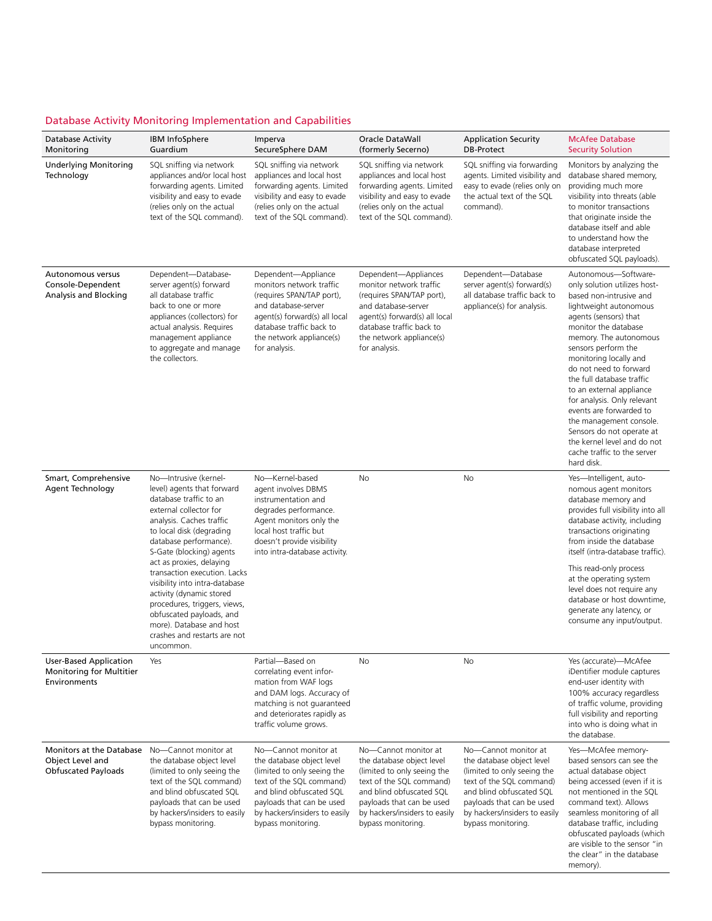## Database Activity Monitoring Implementation and Capabilities

| <b>Database Activity</b><br>Monitoring                                           | <b>IBM InfoSphere</b><br>Guardium                                                                                                                                                                                                                                                                                                                                                                                                                                                    | Imperva<br>SecureSphere DAM                                                                                                                                                                                                  | Oracle DataWall<br>(formerly Secerno)                                                                                                                                                                                        | <b>Application Security</b><br><b>DB-Protect</b>                                                                                                                                                                             | <b>McAfee Database</b><br><b>Security Solution</b>                                                                                                                                                                                                                                                                                                                                                                                                                                                                     |
|----------------------------------------------------------------------------------|--------------------------------------------------------------------------------------------------------------------------------------------------------------------------------------------------------------------------------------------------------------------------------------------------------------------------------------------------------------------------------------------------------------------------------------------------------------------------------------|------------------------------------------------------------------------------------------------------------------------------------------------------------------------------------------------------------------------------|------------------------------------------------------------------------------------------------------------------------------------------------------------------------------------------------------------------------------|------------------------------------------------------------------------------------------------------------------------------------------------------------------------------------------------------------------------------|------------------------------------------------------------------------------------------------------------------------------------------------------------------------------------------------------------------------------------------------------------------------------------------------------------------------------------------------------------------------------------------------------------------------------------------------------------------------------------------------------------------------|
| <b>Underlying Monitoring</b><br>Technology                                       | SQL sniffing via network<br>appliances and/or local host<br>forwarding agents. Limited<br>visibility and easy to evade<br>(relies only on the actual<br>text of the SQL command).                                                                                                                                                                                                                                                                                                    | SQL sniffing via network<br>appliances and local host<br>forwarding agents. Limited<br>visibility and easy to evade<br>(relies only on the actual<br>text of the SQL command).                                               | SQL sniffing via network<br>appliances and local host<br>forwarding agents. Limited<br>visibility and easy to evade<br>(relies only on the actual<br>text of the SQL command).                                               | SQL sniffing via forwarding<br>agents. Limited visibility and<br>easy to evade (relies only on<br>the actual text of the SQL<br>command).                                                                                    | Monitors by analyzing the<br>database shared memory,<br>providing much more<br>visibility into threats (able<br>to monitor transactions<br>that originate inside the<br>database itself and able<br>to understand how the<br>database interpreted<br>obfuscated SQL payloads).                                                                                                                                                                                                                                         |
| Autonomous versus<br>Console-Dependent<br>Analysis and Blocking                  | Dependent-Database-<br>server agent(s) forward<br>all database traffic<br>back to one or more<br>appliances (collectors) for<br>actual analysis. Requires<br>management appliance<br>to aggregate and manage<br>the collectors.                                                                                                                                                                                                                                                      | Dependent-Appliance<br>monitors network traffic<br>(requires SPAN/TAP port),<br>and database-server<br>agent(s) forward(s) all local<br>database traffic back to<br>the network appliance(s)<br>for analysis.                | Dependent-Appliances<br>monitor network traffic<br>(requires SPAN/TAP port),<br>and database-server<br>agent(s) forward(s) all local<br>database traffic back to<br>the network appliance(s)<br>for analysis.                | Dependent-Database<br>server agent(s) forward(s)<br>all database traffic back to<br>appliance(s) for analysis.                                                                                                               | Autonomous-Software-<br>only solution utilizes host-<br>based non-intrusive and<br>lightweight autonomous<br>agents (sensors) that<br>monitor the database<br>memory. The autonomous<br>sensors perform the<br>monitoring locally and<br>do not need to forward<br>the full database traffic<br>to an external appliance<br>for analysis. Only relevant<br>events are forwarded to<br>the management console.<br>Sensors do not operate at<br>the kernel level and do not<br>cache traffic to the server<br>hard disk. |
| Smart, Comprehensive<br>Agent Technology                                         | No-Intrusive (kernel-<br>level) agents that forward<br>database traffic to an<br>external collector for<br>analysis. Caches traffic<br>to local disk (degrading<br>database performance).<br>S-Gate (blocking) agents<br>act as proxies, delaying<br>transaction execution. Lacks<br>visibility into intra-database<br>activity (dynamic stored<br>procedures, triggers, views,<br>obfuscated payloads, and<br>more). Database and host<br>crashes and restarts are not<br>uncommon. | No-Kernel-based<br>agent involves DBMS<br>instrumentation and<br>degrades performance.<br>Agent monitors only the<br>local host traffic but<br>doesn't provide visibility<br>into intra-database activity.                   | No                                                                                                                                                                                                                           | No                                                                                                                                                                                                                           | Yes-Intelligent, auto-<br>nomous agent monitors<br>database memory and<br>provides full visibility into all<br>database activity, including<br>transactions originating<br>from inside the database<br>itself (intra-database traffic).<br>This read-only process<br>at the operating system<br>level does not require any<br>database or host downtime,<br>generate any latency, or<br>consume any input/output.                                                                                                      |
| <b>User-Based Application</b><br><b>Monitoring for Multitier</b><br>Environments | Yes                                                                                                                                                                                                                                                                                                                                                                                                                                                                                  | Partial-Based on<br>correlating event infor-<br>mation from WAF logs<br>and DAM logs. Accuracy of<br>matching is not guaranteed<br>and deteriorates rapidly as<br>traffic volume grows.                                      | No                                                                                                                                                                                                                           | No                                                                                                                                                                                                                           | Yes (accurate)-McAfee<br>iDentifier module captures<br>end-user identity with<br>100% accuracy regardless<br>of traffic volume, providing<br>full visibility and reporting<br>into who is doing what in<br>the database.                                                                                                                                                                                                                                                                                               |
| Monitors at the Database<br>Object Level and<br><b>Obfuscated Payloads</b>       | No-Cannot monitor at<br>the database object level<br>(limited to only seeing the<br>text of the SQL command)<br>and blind obfuscated SOL<br>payloads that can be used<br>by hackers/insiders to easily<br>bypass monitoring.                                                                                                                                                                                                                                                         | No-Cannot monitor at<br>the database object level<br>(limited to only seeing the<br>text of the SQL command)<br>and blind obfuscated SQL<br>payloads that can be used<br>by hackers/insiders to easily<br>bypass monitoring. | No-Cannot monitor at<br>the database object level<br>(limited to only seeing the<br>text of the SQL command)<br>and blind obfuscated SQL<br>payloads that can be used<br>by hackers/insiders to easily<br>bypass monitoring. | No-Cannot monitor at<br>the database object level<br>(limited to only seeing the<br>text of the SQL command)<br>and blind obfuscated SQL<br>payloads that can be used<br>by hackers/insiders to easily<br>bypass monitoring. | Yes-McAfee memory-<br>based sensors can see the<br>actual database object<br>being accessed (even if it is<br>not mentioned in the SQL<br>command text). Allows<br>seamless monitoring of all<br>database traffic, including<br>obfuscated payloads (which<br>are visible to the sensor "in<br>the clear" in the database<br>memory).                                                                                                                                                                                  |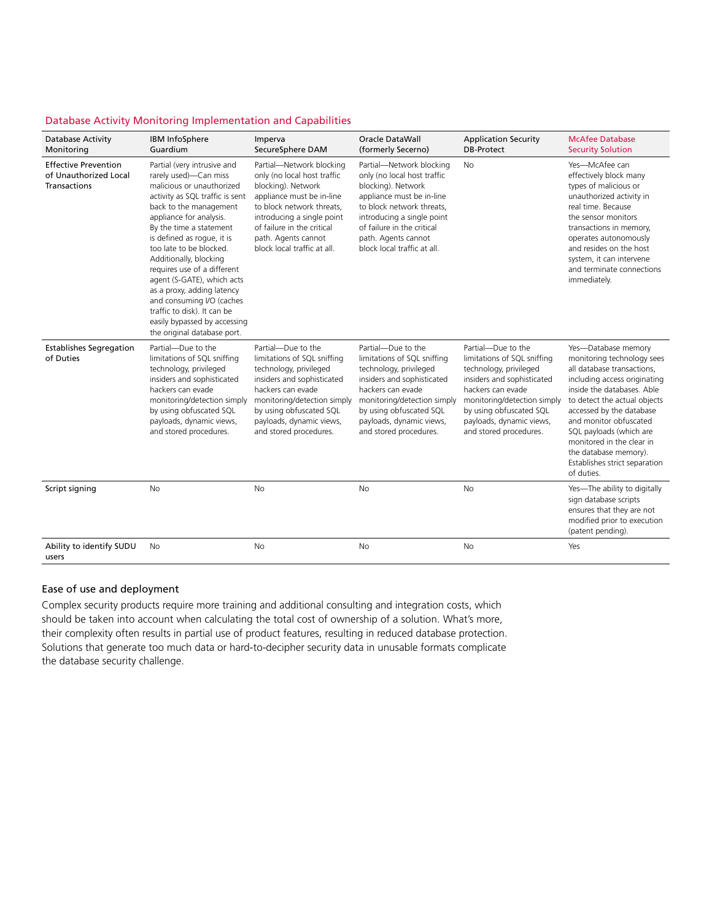## Database Activity Monitoring Implementation and Capabilities

| <b>Database Activity</b><br>Monitoring                               | <b>IBM</b> InfoSphere<br>Guardium                                                                                                                                                                                                                                                                                                                                                                                                                                                                             | Imperva<br>SecureSphere DAM                                                                                                                                                                                                                               | Oracle DataWall<br>(formerly Secerno)                                                                                                                                                                                                                     | <b>Application Security</b><br><b>DB-Protect</b>                                                                                                                                                                                               | <b>McAfee Database</b><br><b>Security Solution</b>                                                                                                                                                                                                                                                                                                                  |
|----------------------------------------------------------------------|---------------------------------------------------------------------------------------------------------------------------------------------------------------------------------------------------------------------------------------------------------------------------------------------------------------------------------------------------------------------------------------------------------------------------------------------------------------------------------------------------------------|-----------------------------------------------------------------------------------------------------------------------------------------------------------------------------------------------------------------------------------------------------------|-----------------------------------------------------------------------------------------------------------------------------------------------------------------------------------------------------------------------------------------------------------|------------------------------------------------------------------------------------------------------------------------------------------------------------------------------------------------------------------------------------------------|---------------------------------------------------------------------------------------------------------------------------------------------------------------------------------------------------------------------------------------------------------------------------------------------------------------------------------------------------------------------|
| <b>Effective Prevention</b><br>of Unauthorized Local<br>Transactions | Partial (very intrusive and<br>rarely used)-Can miss<br>malicious or unauthorized<br>activity as SQL traffic is sent<br>back to the management<br>appliance for analysis.<br>By the time a statement<br>is defined as roque, it is<br>too late to be blocked.<br>Additionally, blocking<br>requires use of a different<br>agent (S-GATE), which acts<br>as a proxy, adding latency<br>and consuming I/O (caches<br>traffic to disk). It can be<br>easily bypassed by accessing<br>the original database port. | Partial-Network blocking<br>only (no local host traffic<br>blocking). Network<br>appliance must be in-line<br>to block network threats,<br>introducing a single point<br>of failure in the critical<br>path. Agents cannot<br>block local traffic at all. | Partial-Network blocking<br>only (no local host traffic<br>blocking). Network<br>appliance must be in-line<br>to block network threats,<br>introducing a single point<br>of failure in the critical<br>path. Agents cannot<br>block local traffic at all. | No                                                                                                                                                                                                                                             | Yes-McAfee can<br>effectively block many<br>types of malicious or<br>unauthorized activity in<br>real time. Because<br>the sensor monitors<br>transactions in memory,<br>operates autonomously<br>and resides on the host<br>system, it can intervene<br>and terminate connections<br>immediately.                                                                  |
| <b>Establishes Segregation</b><br>of Duties                          | Partial-Due to the<br>limitations of SQL sniffing<br>technology, privileged<br>insiders and sophisticated<br>hackers can evade<br>monitoring/detection simply<br>by using obfuscated SQL<br>payloads, dynamic views,<br>and stored procedures.                                                                                                                                                                                                                                                                | Partial-Due to the<br>limitations of SQL sniffing<br>technology, privileged<br>insiders and sophisticated<br>hackers can evade<br>monitoring/detection simply<br>by using obfuscated SQL<br>payloads, dynamic views,<br>and stored procedures.            | Partial-Due to the<br>limitations of SQL sniffing<br>technology, privileged<br>insiders and sophisticated<br>hackers can evade<br>monitoring/detection simply<br>by using obfuscated SQL<br>payloads, dynamic views,<br>and stored procedures.            | Partial-Due to the<br>limitations of SQL sniffing<br>technology, privileged<br>insiders and sophisticated<br>hackers can evade<br>monitoring/detection simply<br>by using obfuscated SQL<br>payloads, dynamic views,<br>and stored procedures. | Yes-Database memory<br>monitoring technology sees<br>all database transactions,<br>including access originating<br>inside the databases. Able<br>to detect the actual objects<br>accessed by the database<br>and monitor obfuscated<br>SQL payloads (which are<br>monitored in the clear in<br>the database memory).<br>Establishes strict separation<br>of duties. |
| Script signing                                                       | No                                                                                                                                                                                                                                                                                                                                                                                                                                                                                                            | No                                                                                                                                                                                                                                                        | No                                                                                                                                                                                                                                                        | <b>No</b>                                                                                                                                                                                                                                      | Yes-The ability to digitally<br>sign database scripts<br>ensures that they are not<br>modified prior to execution<br>(patent pending).                                                                                                                                                                                                                              |
| Ability to identify SUDU<br>users                                    | No                                                                                                                                                                                                                                                                                                                                                                                                                                                                                                            | No                                                                                                                                                                                                                                                        | No                                                                                                                                                                                                                                                        | No                                                                                                                                                                                                                                             | Yes                                                                                                                                                                                                                                                                                                                                                                 |

## Ease of use and deployment

Complex security products require more training and additional consulting and integration costs, which should be taken into account when calculating the total cost of ownership of a solution. What's more, their complexity often results in partial use of product features, resulting in reduced database protection. Solutions that generate too much data or hard-to-decipher security data in unusable formats complicate the database security challenge.